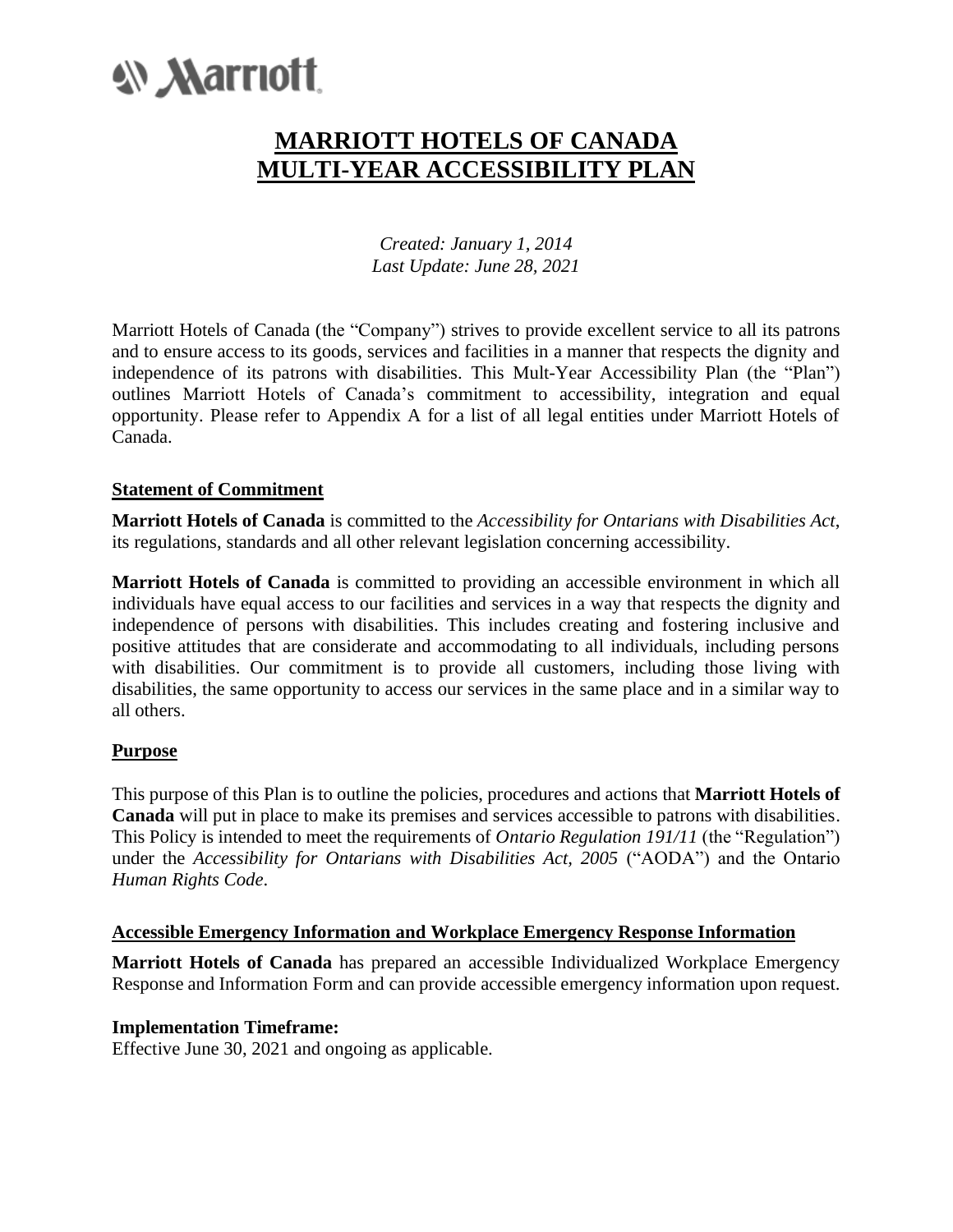# **W Marriott**

# **MARRIOTT HOTELS OF CANADA MULTI-YEAR ACCESSIBILITY PLAN**

*Created: January 1, 2014 Last Update: June 28, 2021*

Marriott Hotels of Canada (the "Company") strives to provide excellent service to all its patrons and to ensure access to its goods, services and facilities in a manner that respects the dignity and independence of its patrons with disabilities. This Mult-Year Accessibility Plan (the "Plan") outlines Marriott Hotels of Canada's commitment to accessibility, integration and equal opportunity. Please refer to Appendix A for a list of all legal entities under Marriott Hotels of Canada.

#### **Statement of Commitment**

**Marriott Hotels of Canada** is committed to the *Accessibility for Ontarians with Disabilities Act*, its regulations, standards and all other relevant legislation concerning accessibility.

**Marriott Hotels of Canada** is committed to providing an accessible environment in which all individuals have equal access to our facilities and services in a way that respects the dignity and independence of persons with disabilities. This includes creating and fostering inclusive and positive attitudes that are considerate and accommodating to all individuals, including persons with disabilities. Our commitment is to provide all customers, including those living with disabilities, the same opportunity to access our services in the same place and in a similar way to all others.

#### **Purpose**

This purpose of this Plan is to outline the policies, procedures and actions that **Marriott Hotels of Canada** will put in place to make its premises and services accessible to patrons with disabilities. This Policy is intended to meet the requirements of *Ontario Regulation 191/11* (the "Regulation") under the *Accessibility for Ontarians with Disabilities Act, 2005* ("AODA") and the Ontario *Human Rights Code*.

#### **Accessible Emergency Information and Workplace Emergency Response Information**

**Marriott Hotels of Canada** has prepared an accessible Individualized Workplace Emergency Response and Information Form and can provide accessible emergency information upon request.

#### **Implementation Timeframe:**

Effective June 30, 2021 and ongoing as applicable.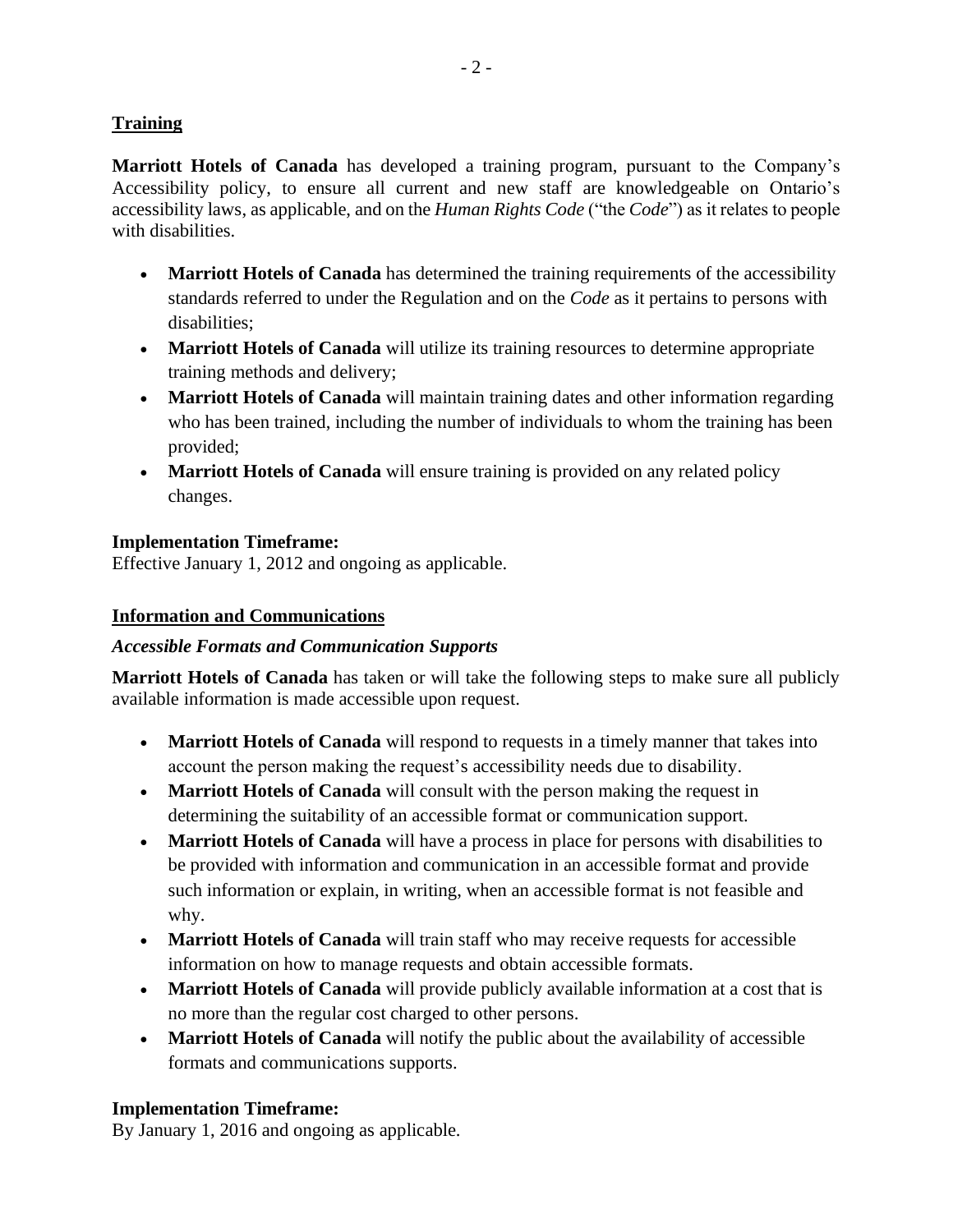## **Training**

**Marriott Hotels of Canada** has developed a training program, pursuant to the Company's Accessibility policy, to ensure all current and new staff are knowledgeable on Ontario's accessibility laws, as applicable, and on the *Human Rights Code* ("the *Code*") as it relates to people with disabilities.

- **Marriott Hotels of Canada** has determined the training requirements of the accessibility standards referred to under the Regulation and on the *Code* as it pertains to persons with disabilities;
- **Marriott Hotels of Canada** will utilize its training resources to determine appropriate training methods and delivery;
- **Marriott Hotels of Canada** will maintain training dates and other information regarding who has been trained, including the number of individuals to whom the training has been provided;
- **Marriott Hotels of Canada** will ensure training is provided on any related policy changes.

#### **Implementation Timeframe:**

Effective January 1, 2012 and ongoing as applicable.

#### **Information and Communications**

#### *Accessible Formats and Communication Supports*

**Marriott Hotels of Canada** has taken or will take the following steps to make sure all publicly available information is made accessible upon request.

- **Marriott Hotels of Canada** will respond to requests in a timely manner that takes into account the person making the request's accessibility needs due to disability.
- **Marriott Hotels of Canada** will consult with the person making the request in determining the suitability of an accessible format or communication support.
- **Marriott Hotels of Canada** will have a process in place for persons with disabilities to be provided with information and communication in an accessible format and provide such information or explain, in writing, when an accessible format is not feasible and why.
- **Marriott Hotels of Canada** will train staff who may receive requests for accessible information on how to manage requests and obtain accessible formats.
- **Marriott Hotels of Canada** will provide publicly available information at a cost that is no more than the regular cost charged to other persons.
- **Marriott Hotels of Canada** will notify the public about the availability of accessible formats and communications supports.

#### **Implementation Timeframe:**

By January 1, 2016 and ongoing as applicable.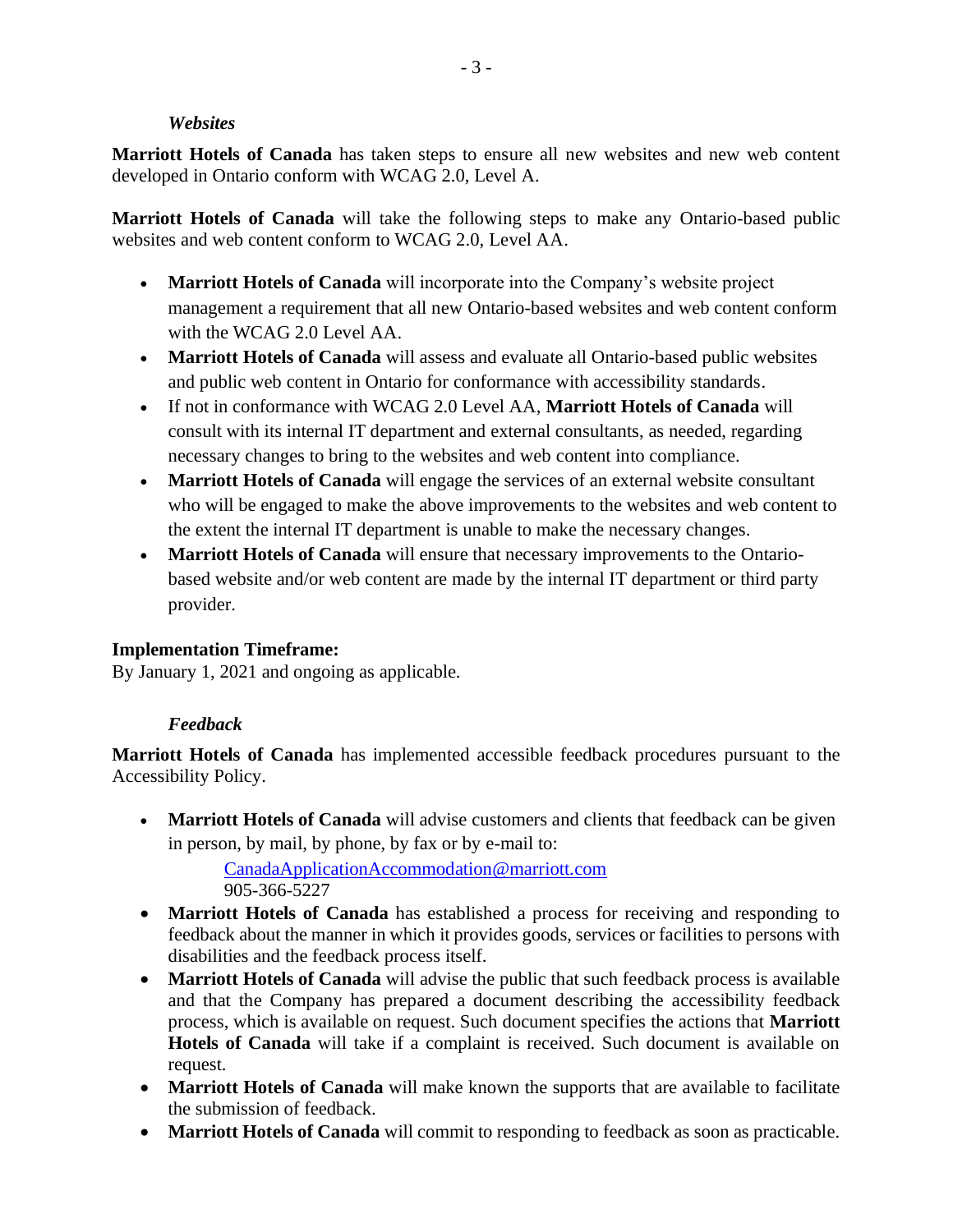#### *Websites*

**Marriott Hotels of Canada** has taken steps to ensure all new websites and new web content developed in Ontario conform with WCAG 2.0, Level A.

**Marriott Hotels of Canada** will take the following steps to make any Ontario-based public websites and web content conform to WCAG 2.0, Level AA.

- **Marriott Hotels of Canada** will incorporate into the Company's website project management a requirement that all new Ontario-based websites and web content conform with the WCAG 2.0 Level AA.
- **Marriott Hotels of Canada** will assess and evaluate all Ontario-based public websites and public web content in Ontario for conformance with accessibility standards.
- If not in conformance with WCAG 2.0 Level AA, **Marriott Hotels of Canada** will consult with its internal IT department and external consultants, as needed, regarding necessary changes to bring to the websites and web content into compliance.
- **Marriott Hotels of Canada** will engage the services of an external website consultant who will be engaged to make the above improvements to the websites and web content to the extent the internal IT department is unable to make the necessary changes.
- **Marriott Hotels of Canada** will ensure that necessary improvements to the Ontariobased website and/or web content are made by the internal IT department or third party provider.

#### **Implementation Timeframe:**

By January 1, 2021 and ongoing as applicable.

#### *Feedback*

**Marriott Hotels of Canada** has implemented accessible feedback procedures pursuant to the Accessibility Policy.

• **Marriott Hotels of Canada** will advise customers and clients that feedback can be given in person, by mail, by phone, by fax or by e-mail to:

[CanadaApplicationAccommodation@marriott.com](mailto:CanadaApplicationAccommodation@marriott.com) 905-366-5227

- **Marriott Hotels of Canada** has established a process for receiving and responding to feedback about the manner in which it provides goods, services or facilities to persons with disabilities and the feedback process itself.
- **Marriott Hotels of Canada** will advise the public that such feedback process is available and that the Company has prepared a document describing the accessibility feedback process, which is available on request. Such document specifies the actions that **Marriott Hotels of Canada** will take if a complaint is received. Such document is available on request.
- **Marriott Hotels of Canada** will make known the supports that are available to facilitate the submission of feedback.
- **Marriott Hotels of Canada** will commit to responding to feedback as soon as practicable.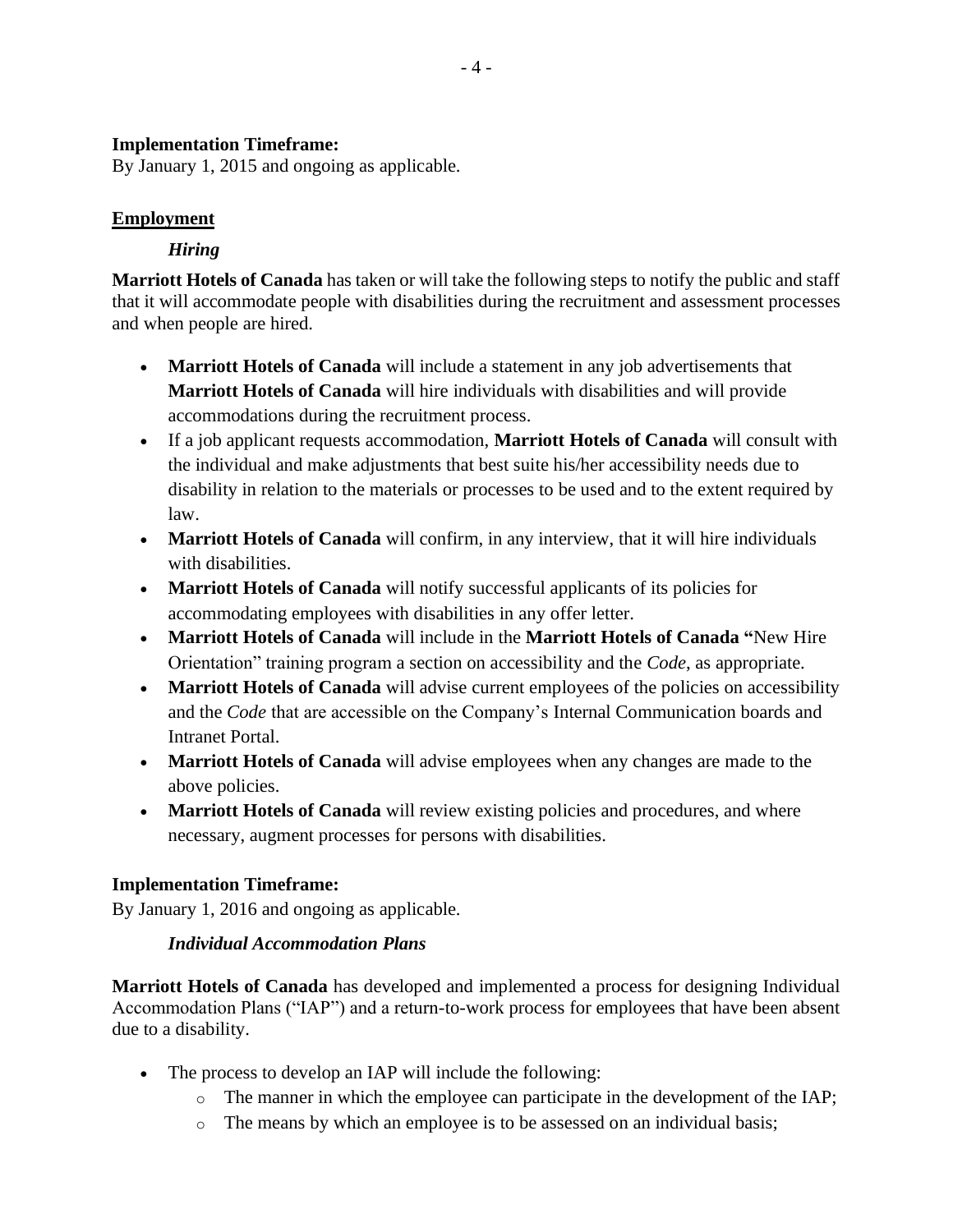#### **Implementation Timeframe:**

By January 1, 2015 and ongoing as applicable.

#### **Employment**

## *Hiring*

**Marriott Hotels of Canada** has taken or will take the following steps to notify the public and staff that it will accommodate people with disabilities during the recruitment and assessment processes and when people are hired.

- **Marriott Hotels of Canada** will include a statement in any job advertisements that **Marriott Hotels of Canada** will hire individuals with disabilities and will provide accommodations during the recruitment process.
- If a job applicant requests accommodation, **Marriott Hotels of Canada** will consult with the individual and make adjustments that best suite his/her accessibility needs due to disability in relation to the materials or processes to be used and to the extent required by law.
- **Marriott Hotels of Canada** will confirm, in any interview, that it will hire individuals with disabilities.
- **Marriott Hotels of Canada** will notify successful applicants of its policies for accommodating employees with disabilities in any offer letter.
- **Marriott Hotels of Canada** will include in the **Marriott Hotels of Canada "**New Hire Orientation" training program a section on accessibility and the *Code*, as appropriate.
- Marriott Hotels of Canada will advise current employees of the policies on accessibility and the *Code* that are accessible on the Company's Internal Communication boards and Intranet Portal.
- **Marriott Hotels of Canada** will advise employees when any changes are made to the above policies.
- **Marriott Hotels of Canada** will review existing policies and procedures, and where necessary, augment processes for persons with disabilities.

# **Implementation Timeframe:**

By January 1, 2016 and ongoing as applicable.

#### *Individual Accommodation Plans*

**Marriott Hotels of Canada** has developed and implemented a process for designing Individual Accommodation Plans ("IAP") and a return-to-work process for employees that have been absent due to a disability.

- The process to develop an IAP will include the following:
	- $\circ$  The manner in which the employee can participate in the development of the IAP;
	- o The means by which an employee is to be assessed on an individual basis;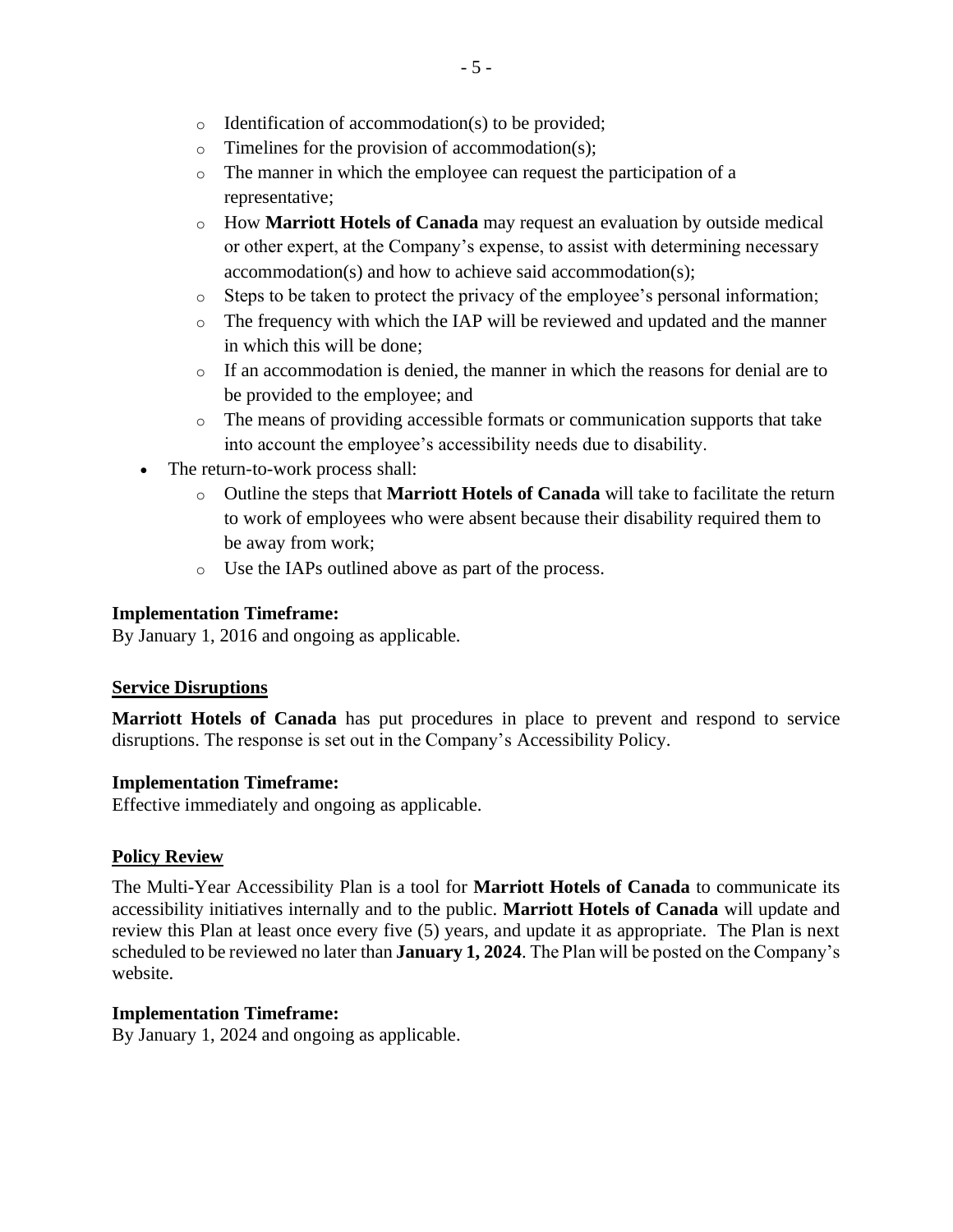- o Identification of accommodation(s) to be provided;
- $\circ$  Timelines for the provision of accommodation(s);
- o The manner in which the employee can request the participation of a representative;
- o How **Marriott Hotels of Canada** may request an evaluation by outside medical or other expert, at the Company's expense, to assist with determining necessary accommodation(s) and how to achieve said accommodation(s);
- o Steps to be taken to protect the privacy of the employee's personal information;
- o The frequency with which the IAP will be reviewed and updated and the manner in which this will be done;
- $\circ$  If an accommodation is denied, the manner in which the reasons for denial are to be provided to the employee; and
- o The means of providing accessible formats or communication supports that take into account the employee's accessibility needs due to disability.
- The return-to-work process shall:
	- o Outline the steps that **Marriott Hotels of Canada** will take to facilitate the return to work of employees who were absent because their disability required them to be away from work;
	- o Use the IAPs outlined above as part of the process.

#### **Implementation Timeframe:**

By January 1, 2016 and ongoing as applicable.

#### **Service Disruptions**

**Marriott Hotels of Canada** has put procedures in place to prevent and respond to service disruptions. The response is set out in the Company's Accessibility Policy.

#### **Implementation Timeframe:**

Effective immediately and ongoing as applicable.

#### **Policy Review**

The Multi-Year Accessibility Plan is a tool for **Marriott Hotels of Canada** to communicate its accessibility initiatives internally and to the public. **Marriott Hotels of Canada** will update and review this Plan at least once every five (5) years, and update it as appropriate. The Plan is next scheduled to be reviewed no later than **January 1, 2024**. The Plan will be posted on the Company's website.

#### **Implementation Timeframe:**

By January 1, 2024 and ongoing as applicable.